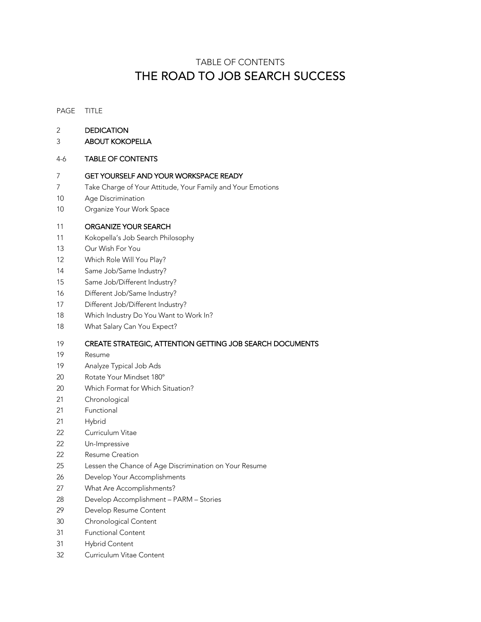# TABLE OF CONTENTS THE ROAD TO JOB SEARCH SUCCESS

#### PAGE TITLE

- DEDICATION
- ABOUT KOKOPELLA

#### 4-6 TABLE OF CONTENTS

#### GET YOURSELF AND YOUR WORKSPACE READY

- Take Charge of Your Attitude, Your Family and Your Emotions
- Age Discrimination
- Organize Your Work Space

## ORGANIZE YOUR SEARCH

- Kokopella's Job Search Philosophy
- Our Wish For You
- Which Role Will You Play?
- Same Job/Same Industry?
- Same Job/Different Industry?
- Different Job/Same Industry?
- Different Job/Different Industry?
- Which Industry Do You Want to Work In?
- What Salary Can You Expect?

## CREATE STRATEGIC, ATTENTION GETTING JOB SEARCH DOCUMENTS

- Resume
- Analyze Typical Job Ads
- 20 Rotate Your Mindset 180°
- Which Format for Which Situation?
- Chronological
- Functional
- Hybrid
- Curriculum Vitae
- Un-Impressive
- Resume Creation
- Lessen the Chance of Age Discrimination on Your Resume
- Develop Your Accomplishments
- What Are Accomplishments?
- 28 Develop Accomplishment PARM Stories
- Develop Resume Content
- Chronological Content
- Functional Content
- Hybrid Content
- Curriculum Vitae Content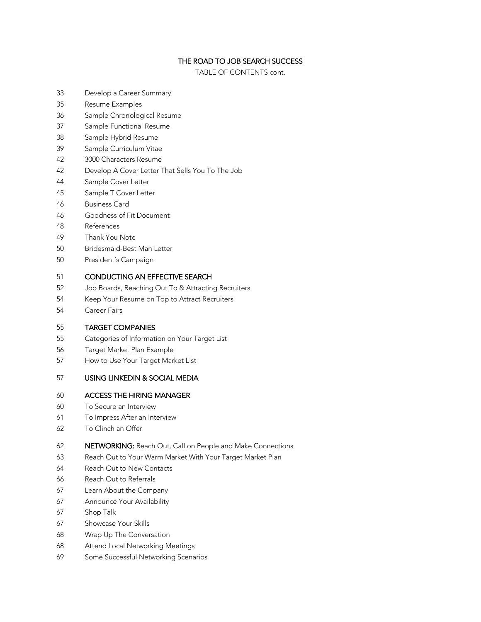## THE ROAD TO JOB SEARCH SUCCESS

TABLE OF CONTENTS cont.

- Develop a Career Summary
- Resume Examples
- Sample Chronological Resume
- Sample Functional Resume
- Sample Hybrid Resume
- Sample Curriculum Vitae
- 3000 Characters Resume
- Develop A Cover Letter That Sells You To The Job
- Sample Cover Letter
- Sample T Cover Letter
- Business Card
- Goodness of Fit Document
- References
- Thank You Note
- Bridesmaid-Best Man Letter
- President's Campaign

### CONDUCTING AN EFFECTIVE SEARCH

- Job Boards, Reaching Out To & Attracting Recruiters
- Keep Your Resume on Top to Attract Recruiters
- Career Fairs

### TARGET COMPANIES

- Categories of Information on Your Target List
- Target Market Plan Example
- How to Use Your Target Market List

### USING LINKEDIN & SOCIAL MEDIA

## ACCESS THE HIRING MANAGER

- To Secure an Interview
- To Impress After an Interview
- To Clinch an Offer

### NETWORKING: Reach Out, Call on People and Make Connections

- Reach Out to Your Warm Market With Your Target Market Plan
- Reach Out to New Contacts
- Reach Out to Referrals
- Learn About the Company
- Announce Your Availability
- 67 Shop Talk
- Showcase Your Skills
- Wrap Up The Conversation
- Attend Local Networking Meetings
- Some Successful Networking Scenarios